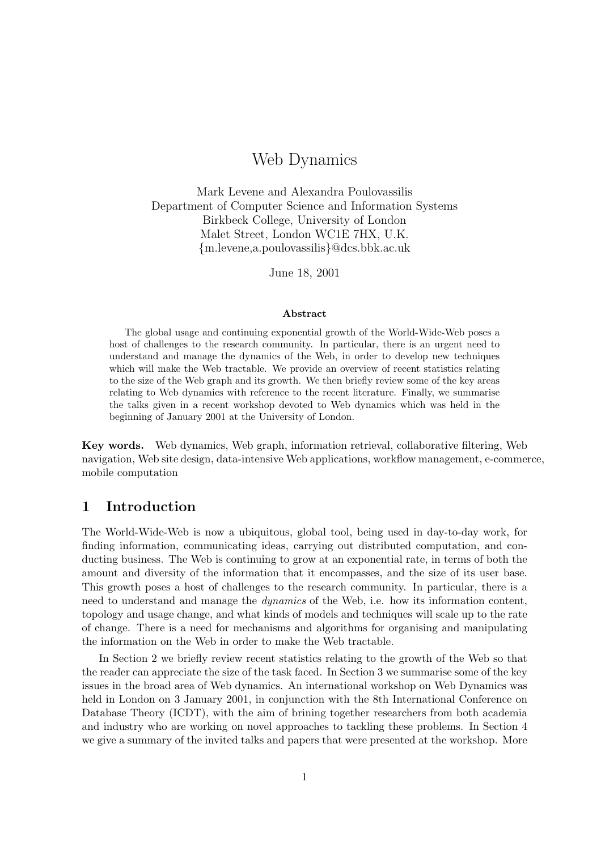# Web Dynamics

Mark Levene and Alexandra Poulovassilis Department of Computer Science and Information Systems Birkbeck College, University of London Malet Street, London WC1E 7HX, U.K. {m.levene,a.poulovassilis}@dcs.bbk.ac.uk

June 18, 2001

#### **Abstract**

The global usage and continuing exponential growth of the World-Wide-Web poses a host of challenges to the research community. In particular, there is an urgent need to understand and manage the dynamics of the Web, in order to develop new techniques which will make the Web tractable. We provide an overview of recent statistics relating to the size of the Web graph and its growth. We then briefly review some of the key areas relating to Web dynamics with reference to the recent literature. Finally, we summarise the talks given in a recent workshop devoted to Web dynamics which was held in the beginning of January 2001 at the University of London.

**Key words.** Web dynamics, Web graph, information retrieval, collaborative filtering, Web navigation, Web site design, data-intensive Web applications, workflow management, e-commerce, mobile computation

#### **1 Introduction**

The World-Wide-Web is now a ubiquitous, global tool, being used in day-to-day work, for finding information, communicating ideas, carrying out distributed computation, and conducting business. The Web is continuing to grow at an exponential rate, in terms of both the amount and diversity of the information that it encompasses, and the size of its user base. This growth poses a host of challenges to the research community. In particular, there is a need to understand and manage the *dynamics* of the Web, i.e. how its information content, topology and usage change, and what kinds of models and techniques will scale up to the rate of change. There is a need for mechanisms and algorithms for organising and manipulating the information on the Web in order to make the Web tractable.

In Section 2 we briefly review recent statistics relating to the growth of the Web so that the reader can appreciate the size of the task faced. In Section 3 we summarise some of the key issues in the broad area of Web dynamics. An international workshop on Web Dynamics was held in London on 3 January 2001, in conjunction with the 8th International Conference on Database Theory (ICDT), with the aim of brining together researchers from both academia and industry who are working on novel approaches to tackling these problems. In Section 4 we give a summary of the invited talks and papers that were presented at the workshop. More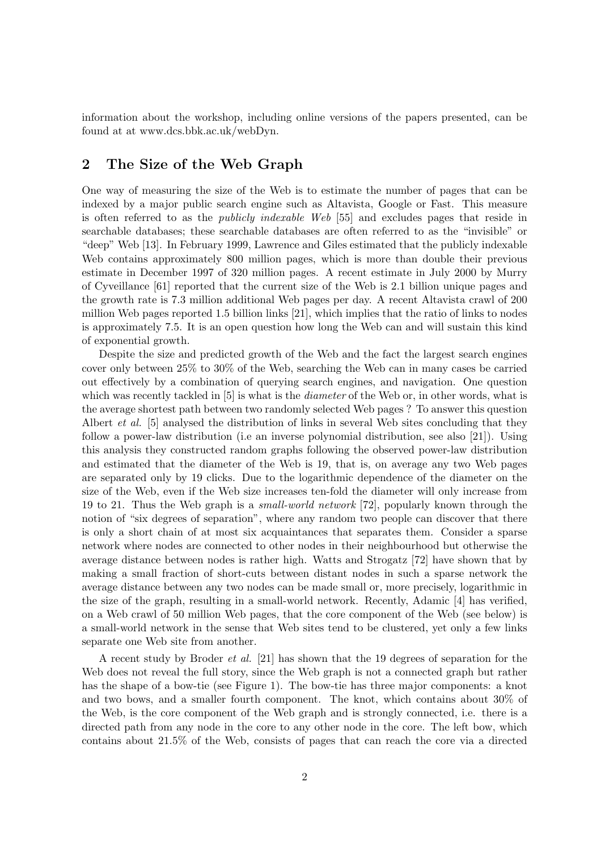information about the workshop, including online versions of the papers presented, can be found at at www.dcs.bbk.ac.uk/webDyn.

# **2 The Size of the Web Graph**

One way of measuring the size of the Web is to estimate the number of pages that can be indexed by a major public search engine such as Altavista, Google or Fast. This measure is often referred to as the *publicly indexable Web* [55] and excludes pages that reside in searchable databases; these searchable databases are often referred to as the "invisible" or "deep" Web [13]. In February 1999, Lawrence and Giles estimated that the publicly indexable Web contains approximately 800 million pages, which is more than double their previous estimate in December 1997 of 320 million pages. A recent estimate in July 2000 by Murry of Cyveillance [61] reported that the current size of the Web is 2.1 billion unique pages and the growth rate is 7.3 million additional Web pages per day. A recent Altavista crawl of 200 million Web pages reported 1.5 billion links [21], which implies that the ratio of links to nodes is approximately 7.5. It is an open question how long the Web can and will sustain this kind of exponential growth.

Despite the size and predicted growth of the Web and the fact the largest search engines cover only between 25% to 30% of the Web, searching the Web can in many cases be carried out effectively by a combination of querying search engines, and navigation. One question which was recently tackled in [5] is what is the *diameter* of the Web or, in other words, what is the average shortest path between two randomly selected Web pages ? To answer this question Albert *et al.* [5] analysed the distribution of links in several Web sites concluding that they follow a power-law distribution (i.e an inverse polynomial distribution, see also [21]). Using this analysis they constructed random graphs following the observed power-law distribution and estimated that the diameter of the Web is 19, that is, on average any two Web pages are separated only by 19 clicks. Due to the logarithmic dependence of the diameter on the size of the Web, even if the Web size increases ten-fold the diameter will only increase from 19 to 21. Thus the Web graph is a *small-world network* [72], popularly known through the notion of "six degrees of separation", where any random two people can discover that there is only a short chain of at most six acquaintances that separates them. Consider a sparse network where nodes are connected to other nodes in their neighbourhood but otherwise the average distance between nodes is rather high. Watts and Strogatz [72] have shown that by making a small fraction of short-cuts between distant nodes in such a sparse network the average distance between any two nodes can be made small or, more precisely, logarithmic in the size of the graph, resulting in a small-world network. Recently, Adamic [4] has verified, on a Web crawl of 50 million Web pages, that the core component of the Web (see below) is a small-world network in the sense that Web sites tend to be clustered, yet only a few links separate one Web site from another.

A recent study by Broder *et al.* [21] has shown that the 19 degrees of separation for the Web does not reveal the full story, since the Web graph is not a connected graph but rather has the shape of a bow-tie (see Figure 1). The bow-tie has three major components: a knot and two bows, and a smaller fourth component. The knot, which contains about 30% of the Web, is the core component of the Web graph and is strongly connected, i.e. there is a directed path from any node in the core to any other node in the core. The left bow, which contains about 21.5% of the Web, consists of pages that can reach the core via a directed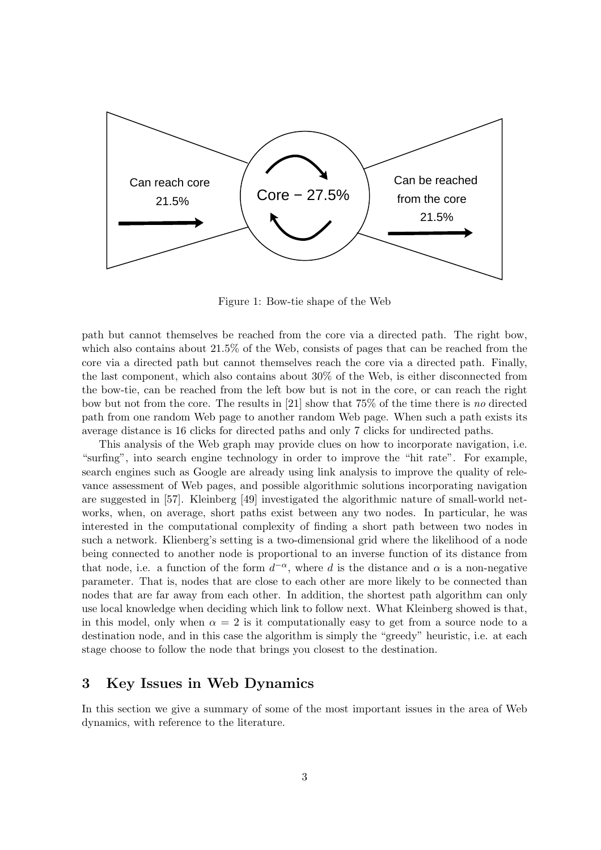

Figure 1: Bow-tie shape of the Web

path but cannot themselves be reached from the core via a directed path. The right bow, which also contains about 21.5% of the Web, consists of pages that can be reached from the core via a directed path but cannot themselves reach the core via a directed path. Finally, the last component, which also contains about 30% of the Web, is either disconnected from the bow-tie, can be reached from the left bow but is not in the core, or can reach the right bow but not from the core. The results in [21] show that 75% of the time there is *no* directed path from one random Web page to another random Web page. When such a path exists its average distance is 16 clicks for directed paths and only 7 clicks for undirected paths.

This analysis of the Web graph may provide clues on how to incorporate navigation, i.e. "surfing", into search engine technology in order to improve the "hit rate". For example, search engines such as Google are already using link analysis to improve the quality of relevance assessment of Web pages, and possible algorithmic solutions incorporating navigation are suggested in [57]. Kleinberg [49] investigated the algorithmic nature of small-world networks, when, on average, short paths exist between any two nodes. In particular, he was interested in the computational complexity of finding a short path between two nodes in such a network. Klienberg's setting is a two-dimensional grid where the likelihood of a node being connected to another node is proportional to an inverse function of its distance from that node, i.e. a function of the form  $d^{-\alpha}$ , where d is the distance and  $\alpha$  is a non-negative parameter. That is, nodes that are close to each other are more likely to be connected than nodes that are far away from each other. In addition, the shortest path algorithm can only use local knowledge when deciding which link to follow next. What Kleinberg showed is that, in this model, only when  $\alpha = 2$  is it computationally easy to get from a source node to a destination node, and in this case the algorithm is simply the "greedy" heuristic, i.e. at each stage choose to follow the node that brings you closest to the destination.

### **3 Key Issues in Web Dynamics**

In this section we give a summary of some of the most important issues in the area of Web dynamics, with reference to the literature.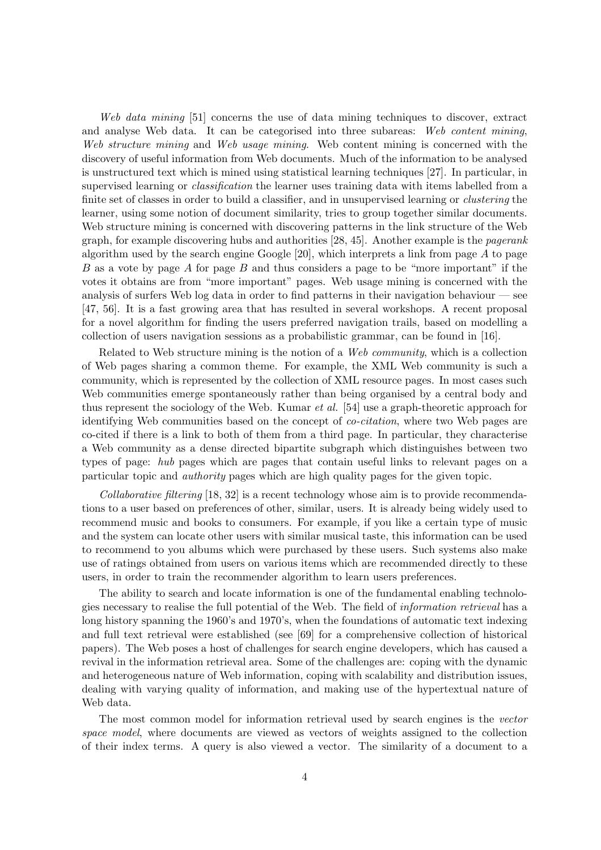*Web data mining* [51] concerns the use of data mining techniques to discover, extract and analyse Web data. It can be categorised into three subareas: *Web content mining*, *Web structure mining* and *Web usage mining*. Web content mining is concerned with the discovery of useful information from Web documents. Much of the information to be analysed is unstructured text which is mined using statistical learning techniques [27]. In particular, in supervised learning or *classification* the learner uses training data with items labelled from a finite set of classes in order to build a classifier, and in unsupervised learning or *clustering* the learner, using some notion of document similarity, tries to group together similar documents. Web structure mining is concerned with discovering patterns in the link structure of the Web graph, for example discovering hubs and authorities [28, 45]. Another example is the *pagerank* algorithm used by the search engine Google  $[20]$ , which interprets a link from page A to page B as a vote by page A for page B and thus considers a page to be "more important" if the votes it obtains are from "more important" pages. Web usage mining is concerned with the analysis of surfers Web log data in order to find patterns in their navigation behaviour — see [47, 56]. It is a fast growing area that has resulted in several workshops. A recent proposal for a novel algorithm for finding the users preferred navigation trails, based on modelling a collection of users navigation sessions as a probabilistic grammar, can be found in [16].

Related to Web structure mining is the notion of a *Web community*, which is a collection of Web pages sharing a common theme. For example, the XML Web community is such a community, which is represented by the collection of XML resource pages. In most cases such Web communities emerge spontaneously rather than being organised by a central body and thus represent the sociology of the Web. Kumar *et al.* [54] use a graph-theoretic approach for identifying Web communities based on the concept of *co-citation*, where two Web pages are co-cited if there is a link to both of them from a third page. In particular, they characterise a Web community as a dense directed bipartite subgraph which distinguishes between two types of page: *hub* pages which are pages that contain useful links to relevant pages on a particular topic and *authority* pages which are high quality pages for the given topic.

*Collaborative filtering* [18, 32] is a recent technology whose aim is to provide recommendations to a user based on preferences of other, similar, users. It is already being widely used to recommend music and books to consumers. For example, if you like a certain type of music and the system can locate other users with similar musical taste, this information can be used to recommend to you albums which were purchased by these users. Such systems also make use of ratings obtained from users on various items which are recommended directly to these users, in order to train the recommender algorithm to learn users preferences.

The ability to search and locate information is one of the fundamental enabling technologies necessary to realise the full potential of the Web. The field of *information retrieval* has a long history spanning the 1960's and 1970's, when the foundations of automatic text indexing and full text retrieval were established (see [69] for a comprehensive collection of historical papers). The Web poses a host of challenges for search engine developers, which has caused a revival in the information retrieval area. Some of the challenges are: coping with the dynamic and heterogeneous nature of Web information, coping with scalability and distribution issues, dealing with varying quality of information, and making use of the hypertextual nature of Web data.

The most common model for information retrieval used by search engines is the *vector space model*, where documents are viewed as vectors of weights assigned to the collection of their index terms. A query is also viewed a vector. The similarity of a document to a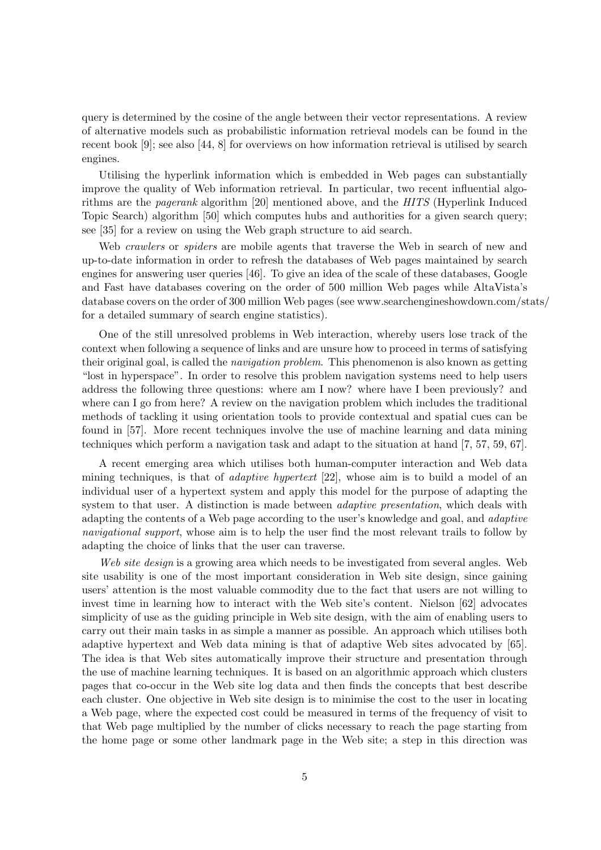query is determined by the cosine of the angle between their vector representations. A review of alternative models such as probabilistic information retrieval models can be found in the recent book [9]; see also [44, 8] for overviews on how information retrieval is utilised by search engines.

Utilising the hyperlink information which is embedded in Web pages can substantially improve the quality of Web information retrieval. In particular, two recent influential algorithms are the *pagerank* algorithm [20] mentioned above, and the *HITS* (Hyperlink Induced Topic Search) algorithm [50] which computes hubs and authorities for a given search query; see [35] for a review on using the Web graph structure to aid search.

Web *crawlers* or *spiders* are mobile agents that traverse the Web in search of new and up-to-date information in order to refresh the databases of Web pages maintained by search engines for answering user queries [46]. To give an idea of the scale of these databases, Google and Fast have databases covering on the order of 500 million Web pages while AltaVista's database covers on the order of 300 million Web pages (see www.searchengineshowdown.com/stats/ for a detailed summary of search engine statistics).

One of the still unresolved problems in Web interaction, whereby users lose track of the context when following a sequence of links and are unsure how to proceed in terms of satisfying their original goal, is called the *navigation problem*. This phenomenon is also known as getting "lost in hyperspace". In order to resolve this problem navigation systems need to help users address the following three questions: where am I now? where have I been previously? and where can I go from here? A review on the navigation problem which includes the traditional methods of tackling it using orientation tools to provide contextual and spatial cues can be found in [57]. More recent techniques involve the use of machine learning and data mining techniques which perform a navigation task and adapt to the situation at hand [7, 57, 59, 67].

A recent emerging area which utilises both human-computer interaction and Web data mining techniques, is that of *adaptive hypertext* [22], whose aim is to build a model of an individual user of a hypertext system and apply this model for the purpose of adapting the system to that user. A distinction is made between *adaptive presentation*, which deals with adapting the contents of a Web page according to the user's knowledge and goal, and *adaptive navigational support*, whose aim is to help the user find the most relevant trails to follow by adapting the choice of links that the user can traverse.

*Web site design* is a growing area which needs to be investigated from several angles. Web site usability is one of the most important consideration in Web site design, since gaining users' attention is the most valuable commodity due to the fact that users are not willing to invest time in learning how to interact with the Web site's content. Nielson [62] advocates simplicity of use as the guiding principle in Web site design, with the aim of enabling users to carry out their main tasks in as simple a manner as possible. An approach which utilises both adaptive hypertext and Web data mining is that of adaptive Web sites advocated by [65]. The idea is that Web sites automatically improve their structure and presentation through the use of machine learning techniques. It is based on an algorithmic approach which clusters pages that co-occur in the Web site log data and then finds the concepts that best describe each cluster. One objective in Web site design is to minimise the cost to the user in locating a Web page, where the expected cost could be measured in terms of the frequency of visit to that Web page multiplied by the number of clicks necessary to reach the page starting from the home page or some other landmark page in the Web site; a step in this direction was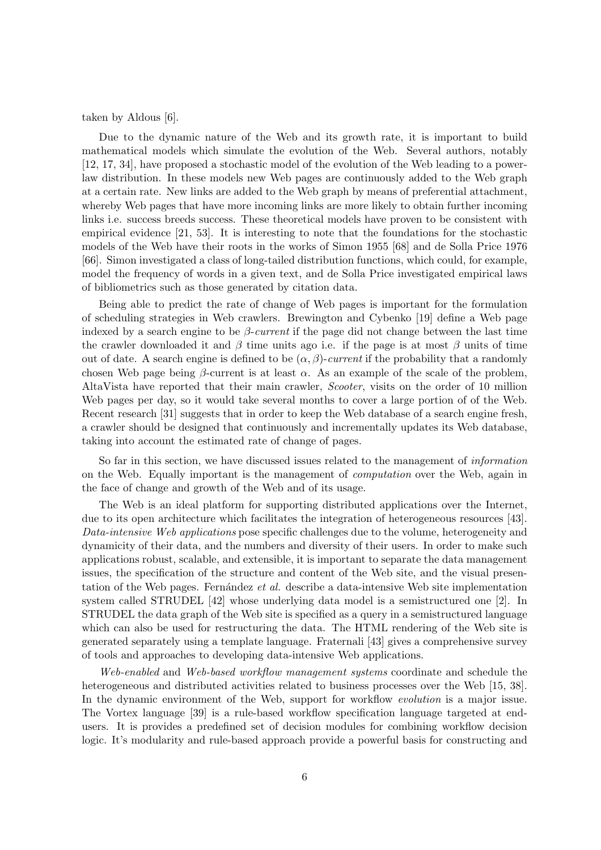taken by Aldous [6].

Due to the dynamic nature of the Web and its growth rate, it is important to build mathematical models which simulate the evolution of the Web. Several authors, notably [12, 17, 34], have proposed a stochastic model of the evolution of the Web leading to a powerlaw distribution. In these models new Web pages are continuously added to the Web graph at a certain rate. New links are added to the Web graph by means of preferential attachment, whereby Web pages that have more incoming links are more likely to obtain further incoming links i.e. success breeds success. These theoretical models have proven to be consistent with empirical evidence [21, 53]. It is interesting to note that the foundations for the stochastic models of the Web have their roots in the works of Simon 1955 [68] and de Solla Price 1976 [66]. Simon investigated a class of long-tailed distribution functions, which could, for example, model the frequency of words in a given text, and de Solla Price investigated empirical laws of bibliometrics such as those generated by citation data.

Being able to predict the rate of change of Web pages is important for the formulation of scheduling strategies in Web crawlers. Brewington and Cybenko [19] define a Web page indexed by a search engine to be β-*current* if the page did not change between the last time the crawler downloaded it and  $\beta$  time units ago i.e. if the page is at most  $\beta$  units of time out of date. A search engine is defined to be  $(\alpha, \beta)$ -*current* if the probability that a randomly chosen Web page being  $\beta$ -current is at least  $\alpha$ . As an example of the scale of the problem, AltaVista have reported that their main crawler, *Scooter*, visits on the order of 10 million Web pages per day, so it would take several months to cover a large portion of of the Web. Recent research [31] suggests that in order to keep the Web database of a search engine fresh, a crawler should be designed that continuously and incrementally updates its Web database, taking into account the estimated rate of change of pages.

So far in this section, we have discussed issues related to the management of *information* on the Web. Equally important is the management of *computation* over the Web, again in the face of change and growth of the Web and of its usage.

The Web is an ideal platform for supporting distributed applications over the Internet, due to its open architecture which facilitates the integration of heterogeneous resources [43]. *Data-intensive Web applications* pose specific challenges due to the volume, heterogeneity and dynamicity of their data, and the numbers and diversity of their users. In order to make such applications robust, scalable, and extensible, it is important to separate the data management issues, the specification of the structure and content of the Web site, and the visual presentation of the Web pages. Fernández *et al.* describe a data-intensive Web site implementation system called STRUDEL [42] whose underlying data model is a semistructured one [2]. In STRUDEL the data graph of the Web site is specified as a query in a semistructured language which can also be used for restructuring the data. The HTML rendering of the Web site is generated separately using a template language. Fraternali [43] gives a comprehensive survey of tools and approaches to developing data-intensive Web applications.

*Web-enabled* and *Web-based workflow management systems* coordinate and schedule the heterogeneous and distributed activities related to business processes over the Web [15, 38]. In the dynamic environment of the Web, support for workflow *evolution* is a major issue. The Vortex language [39] is a rule-based workflow specification language targeted at endusers. It is provides a predefined set of decision modules for combining workflow decision logic. It's modularity and rule-based approach provide a powerful basis for constructing and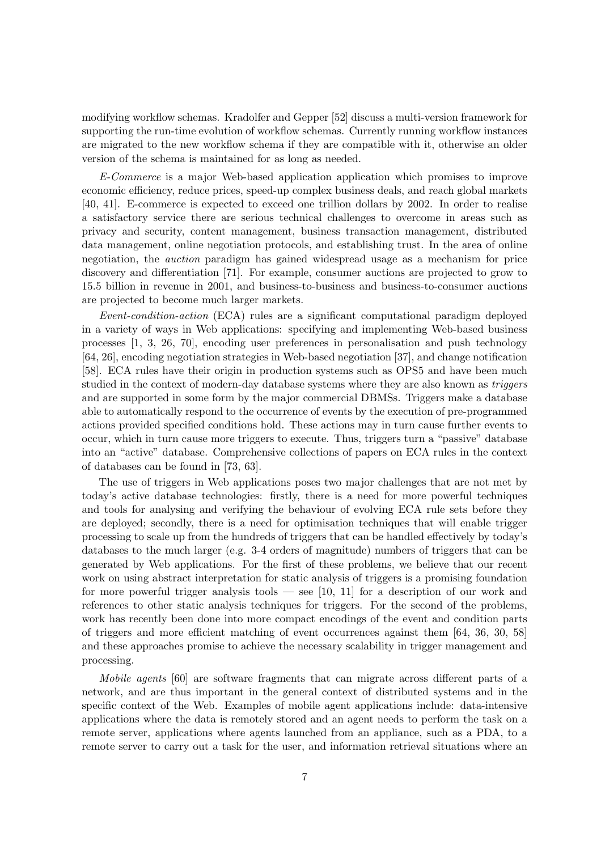modifying workflow schemas. Kradolfer and Gepper [52] discuss a multi-version framework for supporting the run-time evolution of workflow schemas. Currently running workflow instances are migrated to the new workflow schema if they are compatible with it, otherwise an older version of the schema is maintained for as long as needed.

*E-Commerce* is a major Web-based application application which promises to improve economic efficiency, reduce prices, speed-up complex business deals, and reach global markets [40, 41]. E-commerce is expected to exceed one trillion dollars by 2002. In order to realise a satisfactory service there are serious technical challenges to overcome in areas such as privacy and security, content management, business transaction management, distributed data management, online negotiation protocols, and establishing trust. In the area of online negotiation, the *auction* paradigm has gained widespread usage as a mechanism for price discovery and differentiation [71]. For example, consumer auctions are projected to grow to 15.5 billion in revenue in 2001, and business-to-business and business-to-consumer auctions are projected to become much larger markets.

*Event-condition-action* (ECA) rules are a significant computational paradigm deployed in a variety of ways in Web applications: specifying and implementing Web-based business processes [1, 3, 26, 70], encoding user preferences in personalisation and push technology [64, 26], encoding negotiation strategies in Web-based negotiation [37], and change notification [58]. ECA rules have their origin in production systems such as OPS5 and have been much studied in the context of modern-day database systems where they are also known as *triggers* and are supported in some form by the major commercial DBMSs. Triggers make a database able to automatically respond to the occurrence of events by the execution of pre-programmed actions provided specified conditions hold. These actions may in turn cause further events to occur, which in turn cause more triggers to execute. Thus, triggers turn a "passive" database into an "active" database. Comprehensive collections of papers on ECA rules in the context of databases can be found in [73, 63].

The use of triggers in Web applications poses two major challenges that are not met by today's active database technologies: firstly, there is a need for more powerful techniques and tools for analysing and verifying the behaviour of evolving ECA rule sets before they are deployed; secondly, there is a need for optimisation techniques that will enable trigger processing to scale up from the hundreds of triggers that can be handled effectively by today's databases to the much larger (e.g. 3-4 orders of magnitude) numbers of triggers that can be generated by Web applications. For the first of these problems, we believe that our recent work on using abstract interpretation for static analysis of triggers is a promising foundation for more powerful trigger analysis tools — see [10, 11] for a description of our work and references to other static analysis techniques for triggers. For the second of the problems, work has recently been done into more compact encodings of the event and condition parts of triggers and more efficient matching of event occurrences against them [64, 36, 30, 58] and these approaches promise to achieve the necessary scalability in trigger management and processing.

*Mobile agents* [60] are software fragments that can migrate across different parts of a network, and are thus important in the general context of distributed systems and in the specific context of the Web. Examples of mobile agent applications include: data-intensive applications where the data is remotely stored and an agent needs to perform the task on a remote server, applications where agents launched from an appliance, such as a PDA, to a remote server to carry out a task for the user, and information retrieval situations where an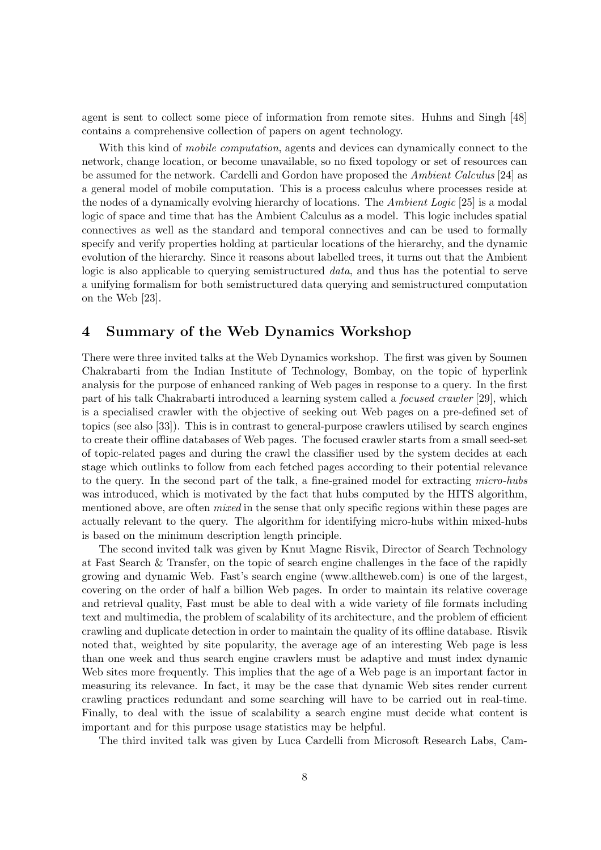agent is sent to collect some piece of information from remote sites. Huhns and Singh [48] contains a comprehensive collection of papers on agent technology.

With this kind of *mobile computation*, agents and devices can dynamically connect to the network, change location, or become unavailable, so no fixed topology or set of resources can be assumed for the network. Cardelli and Gordon have proposed the *Ambient Calculus* [24] as a general model of mobile computation. This is a process calculus where processes reside at the nodes of a dynamically evolving hierarchy of locations. The *Ambient Logic* [25] is a modal logic of space and time that has the Ambient Calculus as a model. This logic includes spatial connectives as well as the standard and temporal connectives and can be used to formally specify and verify properties holding at particular locations of the hierarchy, and the dynamic evolution of the hierarchy. Since it reasons about labelled trees, it turns out that the Ambient logic is also applicable to querying semistructured *data*, and thus has the potential to serve a unifying formalism for both semistructured data querying and semistructured computation on the Web [23].

### **4 Summary of the Web Dynamics Workshop**

There were three invited talks at the Web Dynamics workshop. The first was given by Soumen Chakrabarti from the Indian Institute of Technology, Bombay, on the topic of hyperlink analysis for the purpose of enhanced ranking of Web pages in response to a query. In the first part of his talk Chakrabarti introduced a learning system called a *focused crawler* [29], which is a specialised crawler with the objective of seeking out Web pages on a pre-defined set of topics (see also [33]). This is in contrast to general-purpose crawlers utilised by search engines to create their offline databases of Web pages. The focused crawler starts from a small seed-set of topic-related pages and during the crawl the classifier used by the system decides at each stage which outlinks to follow from each fetched pages according to their potential relevance to the query. In the second part of the talk, a fine-grained model for extracting *micro-hubs* was introduced, which is motivated by the fact that hubs computed by the HITS algorithm, mentioned above, are often *mixed* in the sense that only specific regions within these pages are actually relevant to the query. The algorithm for identifying micro-hubs within mixed-hubs is based on the minimum description length principle.

The second invited talk was given by Knut Magne Risvik, Director of Search Technology at Fast Search & Transfer, on the topic of search engine challenges in the face of the rapidly growing and dynamic Web. Fast's search engine (www.alltheweb.com) is one of the largest, covering on the order of half a billion Web pages. In order to maintain its relative coverage and retrieval quality, Fast must be able to deal with a wide variety of file formats including text and multimedia, the problem of scalability of its architecture, and the problem of efficient crawling and duplicate detection in order to maintain the quality of its offline database. Risvik noted that, weighted by site popularity, the average age of an interesting Web page is less than one week and thus search engine crawlers must be adaptive and must index dynamic Web sites more frequently. This implies that the age of a Web page is an important factor in measuring its relevance. In fact, it may be the case that dynamic Web sites render current crawling practices redundant and some searching will have to be carried out in real-time. Finally, to deal with the issue of scalability a search engine must decide what content is important and for this purpose usage statistics may be helpful.

The third invited talk was given by Luca Cardelli from Microsoft Research Labs, Cam-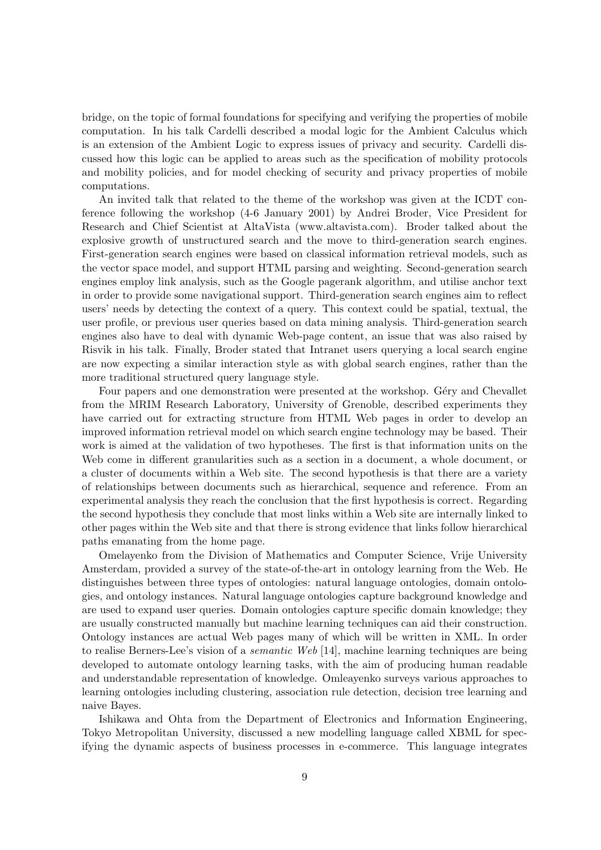bridge, on the topic of formal foundations for specifying and verifying the properties of mobile computation. In his talk Cardelli described a modal logic for the Ambient Calculus which is an extension of the Ambient Logic to express issues of privacy and security. Cardelli discussed how this logic can be applied to areas such as the specification of mobility protocols and mobility policies, and for model checking of security and privacy properties of mobile computations.

An invited talk that related to the theme of the workshop was given at the ICDT conference following the workshop (4-6 January 2001) by Andrei Broder, Vice President for Research and Chief Scientist at AltaVista (www.altavista.com). Broder talked about the explosive growth of unstructured search and the move to third-generation search engines. First-generation search engines were based on classical information retrieval models, such as the vector space model, and support HTML parsing and weighting. Second-generation search engines employ link analysis, such as the Google pagerank algorithm, and utilise anchor text in order to provide some navigational support. Third-generation search engines aim to reflect users' needs by detecting the context of a query. This context could be spatial, textual, the user profile, or previous user queries based on data mining analysis. Third-generation search engines also have to deal with dynamic Web-page content, an issue that was also raised by Risvik in his talk. Finally, Broder stated that Intranet users querying a local search engine are now expecting a similar interaction style as with global search engines, rather than the more traditional structured query language style.

Four papers and one demonstration were presented at the workshop. Géry and Chevallet from the MRIM Research Laboratory, University of Grenoble, described experiments they have carried out for extracting structure from HTML Web pages in order to develop an improved information retrieval model on which search engine technology may be based. Their work is aimed at the validation of two hypotheses. The first is that information units on the Web come in different granularities such as a section in a document, a whole document, or a cluster of documents within a Web site. The second hypothesis is that there are a variety of relationships between documents such as hierarchical, sequence and reference. From an experimental analysis they reach the conclusion that the first hypothesis is correct. Regarding the second hypothesis they conclude that most links within a Web site are internally linked to other pages within the Web site and that there is strong evidence that links follow hierarchical paths emanating from the home page.

Omelayenko from the Division of Mathematics and Computer Science, Vrije University Amsterdam, provided a survey of the state-of-the-art in ontology learning from the Web. He distinguishes between three types of ontologies: natural language ontologies, domain ontologies, and ontology instances. Natural language ontologies capture background knowledge and are used to expand user queries. Domain ontologies capture specific domain knowledge; they are usually constructed manually but machine learning techniques can aid their construction. Ontology instances are actual Web pages many of which will be written in XML. In order to realise Berners-Lee's vision of a *semantic Web* [14], machine learning techniques are being developed to automate ontology learning tasks, with the aim of producing human readable and understandable representation of knowledge. Omleayenko surveys various approaches to learning ontologies including clustering, association rule detection, decision tree learning and naive Bayes.

Ishikawa and Ohta from the Department of Electronics and Information Engineering, Tokyo Metropolitan University, discussed a new modelling language called XBML for specifying the dynamic aspects of business processes in e-commerce. This language integrates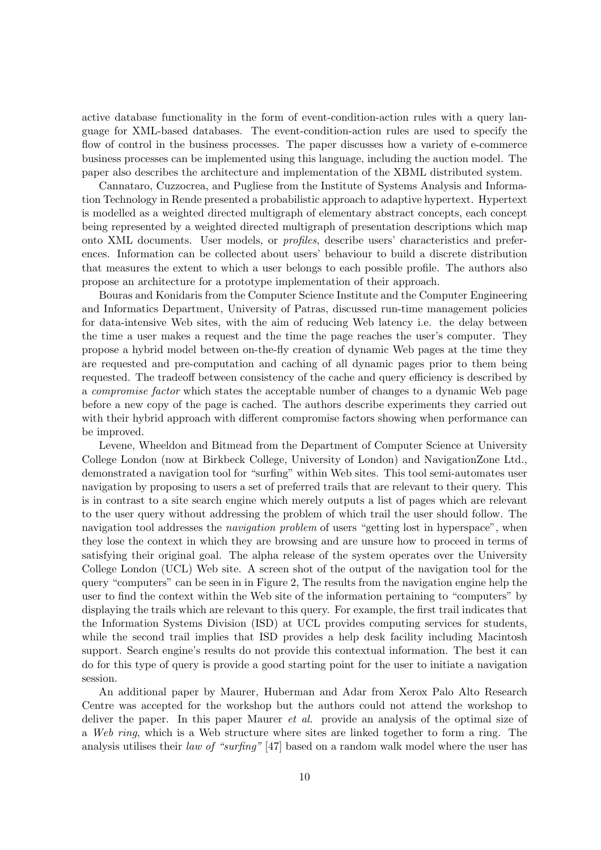active database functionality in the form of event-condition-action rules with a query language for XML-based databases. The event-condition-action rules are used to specify the flow of control in the business processes. The paper discusses how a variety of e-commerce business processes can be implemented using this language, including the auction model. The paper also describes the architecture and implementation of the XBML distributed system.

Cannataro, Cuzzocrea, and Pugliese from the Institute of Systems Analysis and Information Technology in Rende presented a probabilistic approach to adaptive hypertext. Hypertext is modelled as a weighted directed multigraph of elementary abstract concepts, each concept being represented by a weighted directed multigraph of presentation descriptions which map onto XML documents. User models, or *profiles*, describe users' characteristics and preferences. Information can be collected about users' behaviour to build a discrete distribution that measures the extent to which a user belongs to each possible profile. The authors also propose an architecture for a prototype implementation of their approach.

Bouras and Konidaris from the Computer Science Institute and the Computer Engineering and Informatics Department, University of Patras, discussed run-time management policies for data-intensive Web sites, with the aim of reducing Web latency i.e. the delay between the time a user makes a request and the time the page reaches the user's computer. They propose a hybrid model between on-the-fly creation of dynamic Web pages at the time they are requested and pre-computation and caching of all dynamic pages prior to them being requested. The tradeoff between consistency of the cache and query efficiency is described by a *compromise factor* which states the acceptable number of changes to a dynamic Web page before a new copy of the page is cached. The authors describe experiments they carried out with their hybrid approach with different compromise factors showing when performance can be improved.

Levene, Wheeldon and Bitmead from the Department of Computer Science at University College London (now at Birkbeck College, University of London) and NavigationZone Ltd., demonstrated a navigation tool for "surfing" within Web sites. This tool semi-automates user navigation by proposing to users a set of preferred trails that are relevant to their query. This is in contrast to a site search engine which merely outputs a list of pages which are relevant to the user query without addressing the problem of which trail the user should follow. The navigation tool addresses the *navigation problem* of users "getting lost in hyperspace", when they lose the context in which they are browsing and are unsure how to proceed in terms of satisfying their original goal. The alpha release of the system operates over the University College London (UCL) Web site. A screen shot of the output of the navigation tool for the query "computers" can be seen in in Figure 2, The results from the navigation engine help the user to find the context within the Web site of the information pertaining to "computers" by displaying the trails which are relevant to this query. For example, the first trail indicates that the Information Systems Division (ISD) at UCL provides computing services for students, while the second trail implies that ISD provides a help desk facility including Macintosh support. Search engine's results do not provide this contextual information. The best it can do for this type of query is provide a good starting point for the user to initiate a navigation session.

An additional paper by Maurer, Huberman and Adar from Xerox Palo Alto Research Centre was accepted for the workshop but the authors could not attend the workshop to deliver the paper. In this paper Maurer *et al.* provide an analysis of the optimal size of a *Web ring*, which is a Web structure where sites are linked together to form a ring. The analysis utilises their *law of "surfing"* [47] based on a random walk model where the user has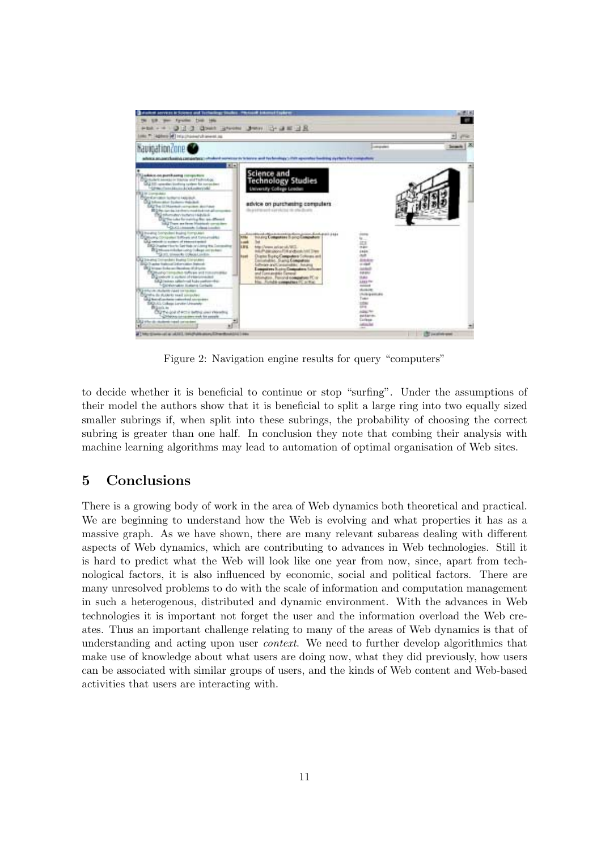

Figure 2: Navigation engine results for query "computers"

to decide whether it is beneficial to continue or stop "surfing". Under the assumptions of their model the authors show that it is beneficial to split a large ring into two equally sized smaller subrings if, when split into these subrings, the probability of choosing the correct subring is greater than one half. In conclusion they note that combing their analysis with machine learning algorithms may lead to automation of optimal organisation of Web sites.

# **5 Conclusions**

There is a growing body of work in the area of Web dynamics both theoretical and practical. We are beginning to understand how the Web is evolving and what properties it has as a massive graph. As we have shown, there are many relevant subareas dealing with different aspects of Web dynamics, which are contributing to advances in Web technologies. Still it is hard to predict what the Web will look like one year from now, since, apart from technological factors, it is also influenced by economic, social and political factors. There are many unresolved problems to do with the scale of information and computation management in such a heterogenous, distributed and dynamic environment. With the advances in Web technologies it is important not forget the user and the information overload the Web creates. Thus an important challenge relating to many of the areas of Web dynamics is that of understanding and acting upon user *context*. We need to further develop algorithmics that make use of knowledge about what users are doing now, what they did previously, how users can be associated with similar groups of users, and the kinds of Web content and Web-based activities that users are interacting with.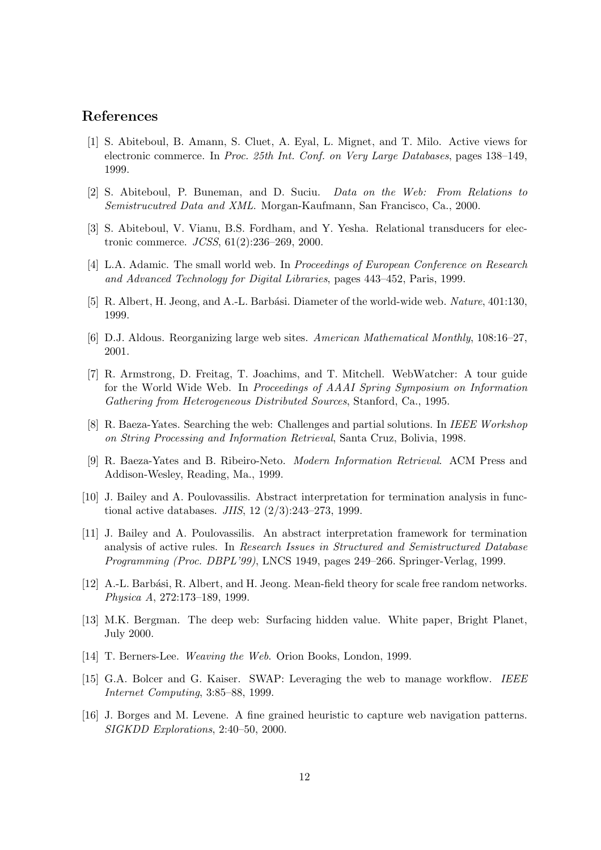# **References**

- [1] S. Abiteboul, B. Amann, S. Cluet, A. Eyal, L. Mignet, and T. Milo. Active views for electronic commerce. In *Proc. 25th Int. Conf. on Very Large Databases*, pages 138–149, 1999.
- [2] S. Abiteboul, P. Buneman, and D. Suciu. *Data on the Web: From Relations to Semistrucutred Data and XML*. Morgan-Kaufmann, San Francisco, Ca., 2000.
- [3] S. Abiteboul, V. Vianu, B.S. Fordham, and Y. Yesha. Relational transducers for electronic commerce. *JCSS*, 61(2):236–269, 2000.
- [4] L.A. Adamic. The small world web. In *Proceedings of European Conference on Research and Advanced Technology for Digital Libraries*, pages 443–452, Paris, 1999.
- [5] R. Albert, H. Jeong, and A.-L. Barb´asi. Diameter of the world-wide web. *Nature*, 401:130, 1999.
- [6] D.J. Aldous. Reorganizing large web sites. *American Mathematical Monthly*, 108:16–27, 2001.
- [7] R. Armstrong, D. Freitag, T. Joachims, and T. Mitchell. WebWatcher: A tour guide for the World Wide Web. In *Proceedings of AAAI Spring Symposium on Information Gathering from Heterogeneous Distributed Sources*, Stanford, Ca., 1995.
- [8] R. Baeza-Yates. Searching the web: Challenges and partial solutions. In *IEEE Workshop on String Processing and Information Retrieval*, Santa Cruz, Bolivia, 1998.
- [9] R. Baeza-Yates and B. Ribeiro-Neto. *Modern Information Retrieval*. ACM Press and Addison-Wesley, Reading, Ma., 1999.
- [10] J. Bailey and A. Poulovassilis. Abstract interpretation for termination analysis in functional active databases. *JIIS*, 12 (2/3):243–273, 1999.
- [11] J. Bailey and A. Poulovassilis. An abstract interpretation framework for termination analysis of active rules. In *Research Issues in Structured and Semistructured Database Programming (Proc. DBPL'99)*, LNCS 1949, pages 249–266. Springer-Verlag, 1999.
- [12] A.-L. Barbási, R. Albert, and H. Jeong. Mean-field theory for scale free random networks. *Physica A*, 272:173–189, 1999.
- [13] M.K. Bergman. The deep web: Surfacing hidden value. White paper, Bright Planet, July 2000.
- [14] T. Berners-Lee. *Weaving the Web*. Orion Books, London, 1999.
- [15] G.A. Bolcer and G. Kaiser. SWAP: Leveraging the web to manage workflow. *IEEE Internet Computing*, 3:85–88, 1999.
- [16] J. Borges and M. Levene. A fine grained heuristic to capture web navigation patterns. *SIGKDD Explorations*, 2:40–50, 2000.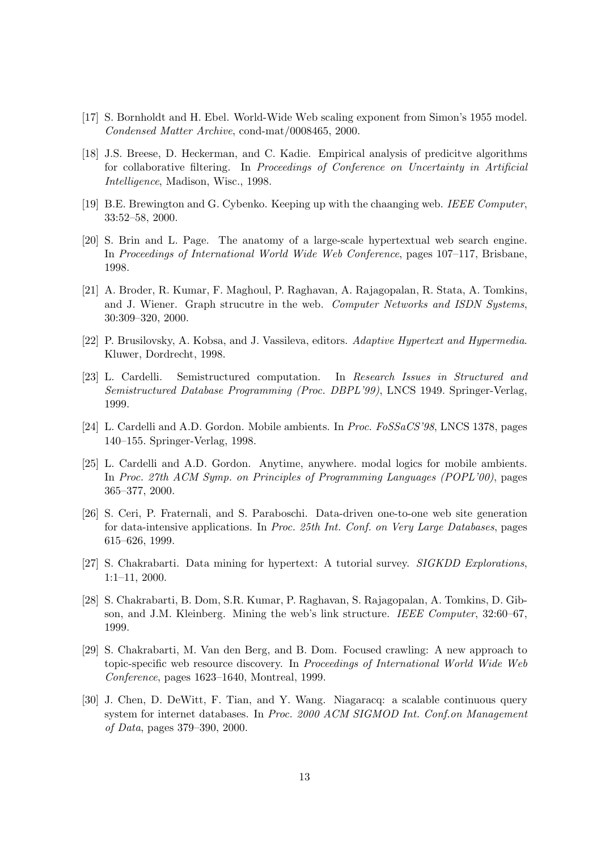- [17] S. Bornholdt and H. Ebel. World-Wide Web scaling exponent from Simon's 1955 model. *Condensed Matter Archive*, cond-mat/0008465, 2000.
- [18] J.S. Breese, D. Heckerman, and C. Kadie. Empirical analysis of predicitve algorithms for collaborative filtering. In *Proceedings of Conference on Uncertainty in Artificial Intelligence*, Madison, Wisc., 1998.
- [19] B.E. Brewington and G. Cybenko. Keeping up with the chaanging web. *IEEE Computer*, 33:52–58, 2000.
- [20] S. Brin and L. Page. The anatomy of a large-scale hypertextual web search engine. In *Proceedings of International World Wide Web Conference*, pages 107–117, Brisbane, 1998.
- [21] A. Broder, R. Kumar, F. Maghoul, P. Raghavan, A. Rajagopalan, R. Stata, A. Tomkins, and J. Wiener. Graph strucutre in the web. *Computer Networks and ISDN Systems*, 30:309–320, 2000.
- [22] P. Brusilovsky, A. Kobsa, and J. Vassileva, editors. *Adaptive Hypertext and Hypermedia*. Kluwer, Dordrecht, 1998.
- [23] L. Cardelli. Semistructured computation. In *Research Issues in Structured and Semistructured Database Programming (Proc. DBPL'99)*, LNCS 1949. Springer-Verlag, 1999.
- [24] L. Cardelli and A.D. Gordon. Mobile ambients. In *Proc. FoSSaCS'98*, LNCS 1378, pages 140–155. Springer-Verlag, 1998.
- [25] L. Cardelli and A.D. Gordon. Anytime, anywhere. modal logics for mobile ambients. In *Proc. 27th ACM Symp. on Principles of Programming Languages (POPL'00)*, pages 365–377, 2000.
- [26] S. Ceri, P. Fraternali, and S. Paraboschi. Data-driven one-to-one web site generation for data-intensive applications. In *Proc. 25th Int. Conf. on Very Large Databases*, pages 615–626, 1999.
- [27] S. Chakrabarti. Data mining for hypertext: A tutorial survey. *SIGKDD Explorations*, 1:1–11, 2000.
- [28] S. Chakrabarti, B. Dom, S.R. Kumar, P. Raghavan, S. Rajagopalan, A. Tomkins, D. Gibson, and J.M. Kleinberg. Mining the web's link structure. *IEEE Computer*, 32:60–67, 1999.
- [29] S. Chakrabarti, M. Van den Berg, and B. Dom. Focused crawling: A new approach to topic-specific web resource discovery. In *Proceedings of International World Wide Web Conference*, pages 1623–1640, Montreal, 1999.
- [30] J. Chen, D. DeWitt, F. Tian, and Y. Wang. Niagaracq: a scalable continuous query system for internet databases. In *Proc. 2000 ACM SIGMOD Int. Conf.on Management of Data*, pages 379–390, 2000.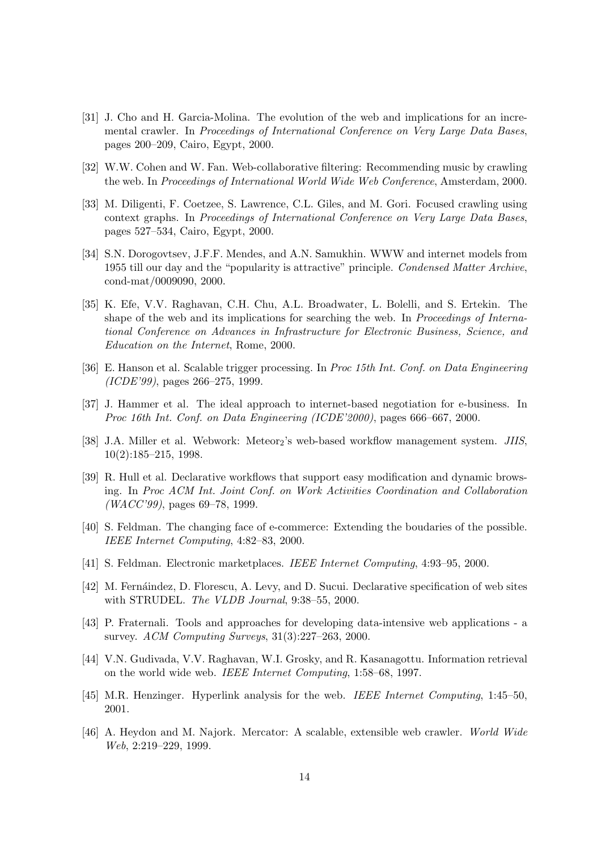- [31] J. Cho and H. Garcia-Molina. The evolution of the web and implications for an incremental crawler. In *Proceedings of International Conference on Very Large Data Bases*, pages 200–209, Cairo, Egypt, 2000.
- [32] W.W. Cohen and W. Fan. Web-collaborative filtering: Recommending music by crawling the web. In *Proceedings of International World Wide Web Conference*, Amsterdam, 2000.
- [33] M. Diligenti, F. Coetzee, S. Lawrence, C.L. Giles, and M. Gori. Focused crawling using context graphs. In *Proceedings of International Conference on Very Large Data Bases*, pages 527–534, Cairo, Egypt, 2000.
- [34] S.N. Dorogovtsev, J.F.F. Mendes, and A.N. Samukhin. WWW and internet models from 1955 till our day and the "popularity is attractive" principle. *Condensed Matter Archive*, cond-mat/0009090, 2000.
- [35] K. Efe, V.V. Raghavan, C.H. Chu, A.L. Broadwater, L. Bolelli, and S. Ertekin. The shape of the web and its implications for searching the web. In *Proceedings of International Conference on Advances in Infrastructure for Electronic Business, Science, and Education on the Internet*, Rome, 2000.
- [36] E. Hanson et al. Scalable trigger processing. In *Proc 15th Int. Conf. on Data Engineering (ICDE'99)*, pages 266–275, 1999.
- [37] J. Hammer et al. The ideal approach to internet-based negotiation for e-business. In *Proc 16th Int. Conf. on Data Engineering (ICDE'2000)*, pages 666–667, 2000.
- [38] J.A. Miller et al. Webwork: Meteor<sub>2</sub>'s web-based workflow management system. *JIIS*, 10(2):185–215, 1998.
- [39] R. Hull et al. Declarative workflows that support easy modification and dynamic browsing. In *Proc ACM Int. Joint Conf. on Work Activities Coordination and Collaboration (WACC'99)*, pages 69–78, 1999.
- [40] S. Feldman. The changing face of e-commerce: Extending the boudaries of the possible. *IEEE Internet Computing*, 4:82–83, 2000.
- [41] S. Feldman. Electronic marketplaces. *IEEE Internet Computing*, 4:93–95, 2000.
- [42] M. Fernáindez, D. Florescu, A. Levy, and D. Sucui. Declarative specification of web sites with STRUDEL. *The VLDB Journal*, 9:38–55, 2000.
- [43] P. Fraternali. Tools and approaches for developing data-intensive web applications a survey. *ACM Computing Surveys*, 31(3):227–263, 2000.
- [44] V.N. Gudivada, V.V. Raghavan, W.I. Grosky, and R. Kasanagottu. Information retrieval on the world wide web. *IEEE Internet Computing*, 1:58–68, 1997.
- [45] M.R. Henzinger. Hyperlink analysis for the web. *IEEE Internet Computing*, 1:45–50, 2001.
- [46] A. Heydon and M. Najork. Mercator: A scalable, extensible web crawler. *World Wide Web*, 2:219–229, 1999.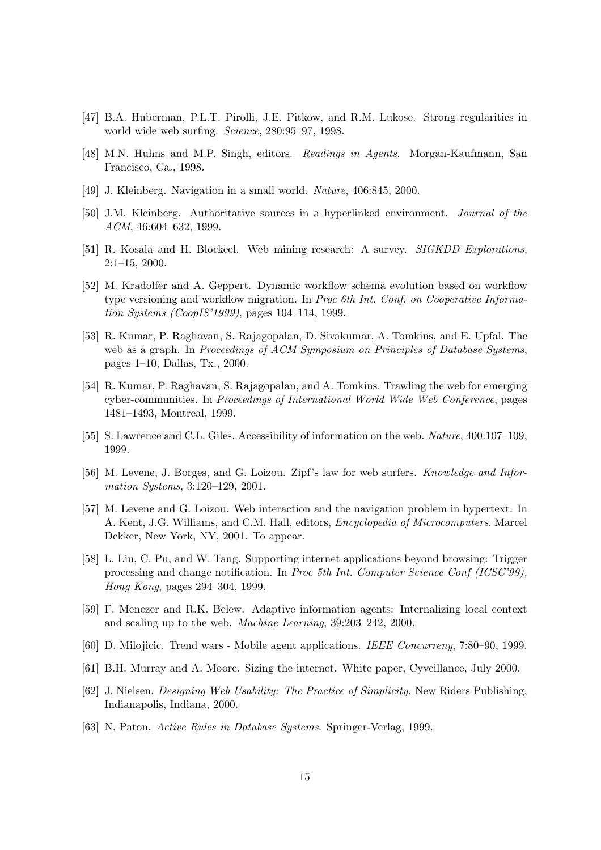- [47] B.A. Huberman, P.L.T. Pirolli, J.E. Pitkow, and R.M. Lukose. Strong regularities in world wide web surfing. *Science*, 280:95–97, 1998.
- [48] M.N. Huhns and M.P. Singh, editors. *Readings in Agents*. Morgan-Kaufmann, San Francisco, Ca., 1998.
- [49] J. Kleinberg. Navigation in a small world. *Nature*, 406:845, 2000.
- [50] J.M. Kleinberg. Authoritative sources in a hyperlinked environment. *Journal of the ACM*, 46:604–632, 1999.
- [51] R. Kosala and H. Blockeel. Web mining research: A survey. *SIGKDD Explorations*, 2:1–15, 2000.
- [52] M. Kradolfer and A. Geppert. Dynamic workflow schema evolution based on workflow type versioning and workflow migration. In *Proc 6th Int. Conf. on Cooperative Information Systems (CoopIS'1999)*, pages 104–114, 1999.
- [53] R. Kumar, P. Raghavan, S. Rajagopalan, D. Sivakumar, A. Tomkins, and E. Upfal. The web as a graph. In *Proceedings of ACM Symposium on Principles of Database Systems*, pages 1–10, Dallas, Tx., 2000.
- [54] R. Kumar, P. Raghavan, S. Rajagopalan, and A. Tomkins. Trawling the web for emerging cyber-communities. In *Proceedings of International World Wide Web Conference*, pages 1481–1493, Montreal, 1999.
- [55] S. Lawrence and C.L. Giles. Accessibility of information on the web. *Nature*, 400:107–109, 1999.
- [56] M. Levene, J. Borges, and G. Loizou. Zipf's law for web surfers. *Knowledge and Information Systems*, 3:120–129, 2001.
- [57] M. Levene and G. Loizou. Web interaction and the navigation problem in hypertext. In A. Kent, J.G. Williams, and C.M. Hall, editors, *Encyclopedia of Microcomputers*. Marcel Dekker, New York, NY, 2001. To appear.
- [58] L. Liu, C. Pu, and W. Tang. Supporting internet applications beyond browsing: Trigger processing and change notification. In *Proc 5th Int. Computer Science Conf (ICSC'99), Hong Kong*, pages 294–304, 1999.
- [59] F. Menczer and R.K. Belew. Adaptive information agents: Internalizing local context and scaling up to the web. *Machine Learning*, 39:203–242, 2000.
- [60] D. Milojicic. Trend wars Mobile agent applications. *IEEE Concurreny*, 7:80–90, 1999.
- [61] B.H. Murray and A. Moore. Sizing the internet. White paper, Cyveillance, July 2000.
- [62] J. Nielsen. *Designing Web Usability: The Practice of Simplicity*. New Riders Publishing, Indianapolis, Indiana, 2000.
- [63] N. Paton. *Active Rules in Database Systems*. Springer-Verlag, 1999.